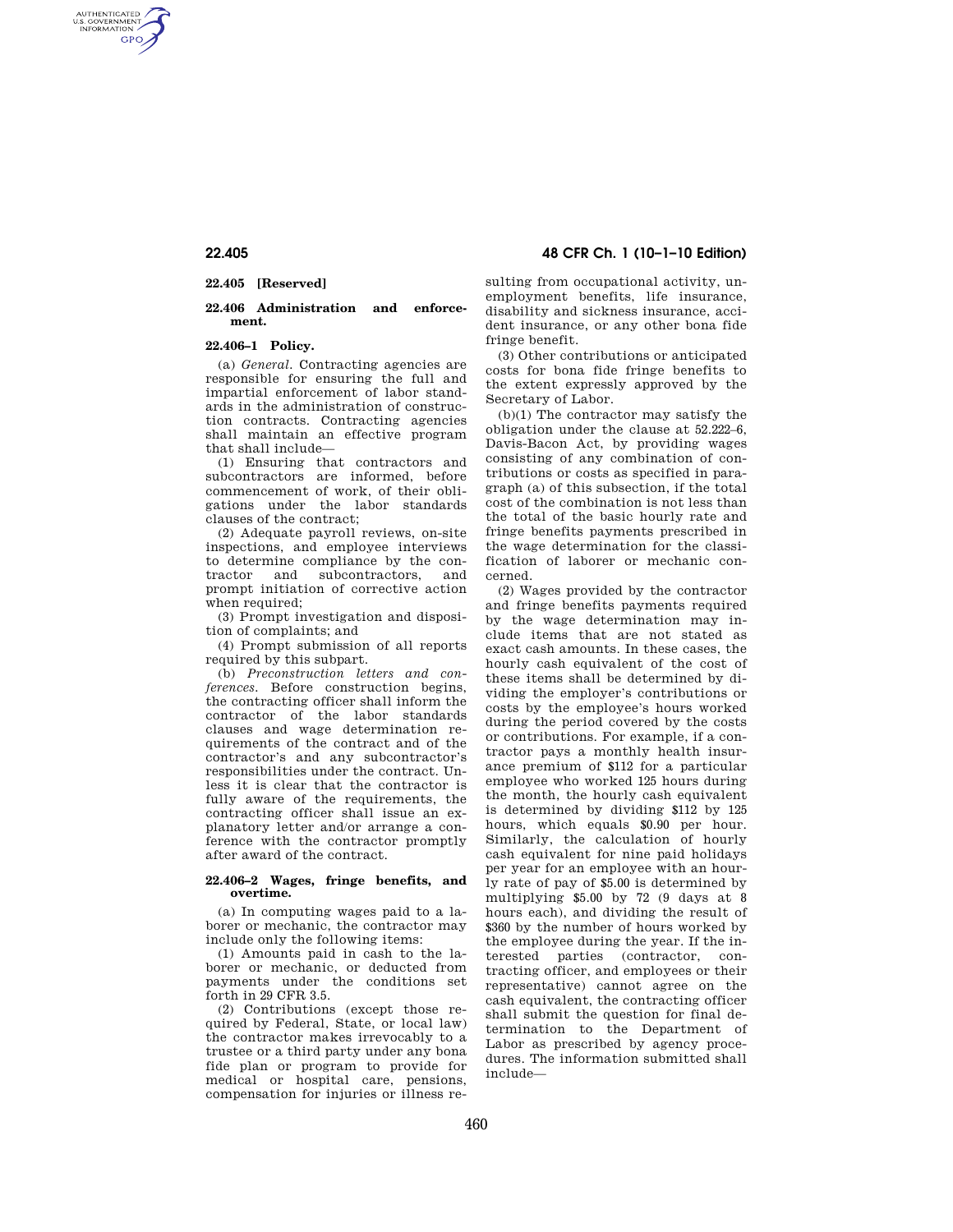AUTHENTICATED<br>U.S. GOVERNMENT<br>INFORMATION **GPO** 

# **22.405 [Reserved]**

## **22.406 Administration and enforcement.**

## **22.406–1 Policy.**

(a) *General.* Contracting agencies are responsible for ensuring the full and impartial enforcement of labor standards in the administration of construction contracts. Contracting agencies shall maintain an effective program that shall include—

(1) Ensuring that contractors and subcontractors are informed, before commencement of work, of their obligations under the labor standards clauses of the contract;

(2) Adequate payroll reviews, on-site inspections, and employee interviews to determine compliance by the contractor and subcontractors, and prompt initiation of corrective action when required;

(3) Prompt investigation and disposition of complaints; and

(4) Prompt submission of all reports required by this subpart.

(b) *Preconstruction letters and conferences.* Before construction begins, the contracting officer shall inform the contractor of the labor standards clauses and wage determination requirements of the contract and of the contractor's and any subcontractor's responsibilities under the contract. Unless it is clear that the contractor is fully aware of the requirements, the contracting officer shall issue an explanatory letter and/or arrange a conference with the contractor promptly after award of the contract.

#### **22.406–2 Wages, fringe benefits, and overtime.**

(a) In computing wages paid to a laborer or mechanic, the contractor may include only the following items:

(1) Amounts paid in cash to the laborer or mechanic, or deducted from payments under the conditions set forth in 29 CFR 3.5.

(2) Contributions (except those required by Federal, State, or local law) the contractor makes irrevocably to a trustee or a third party under any bona fide plan or program to provide for medical or hospital care, pensions, compensation for injuries or illness re-

**22.405 48 CFR Ch. 1 (10–1–10 Edition)** 

sulting from occupational activity, unemployment benefits, life insurance, disability and sickness insurance, accident insurance, or any other bona fide fringe benefit.

(3) Other contributions or anticipated costs for bona fide fringe benefits to the extent expressly approved by the Secretary of Labor.

(b)(1) The contractor may satisfy the obligation under the clause at 52.222–6, Davis-Bacon Act, by providing wages consisting of any combination of contributions or costs as specified in paragraph (a) of this subsection, if the total cost of the combination is not less than the total of the basic hourly rate and fringe benefits payments prescribed in the wage determination for the classification of laborer or mechanic concerned.

(2) Wages provided by the contractor and fringe benefits payments required by the wage determination may include items that are not stated as exact cash amounts. In these cases, the hourly cash equivalent of the cost of these items shall be determined by dividing the employer's contributions or costs by the employee's hours worked during the period covered by the costs or contributions. For example, if a contractor pays a monthly health insurance premium of \$112 for a particular employee who worked 125 hours during the month, the hourly cash equivalent is determined by dividing \$112 by 125 hours, which equals \$0.90 per hour. Similarly, the calculation of hourly cash equivalent for nine paid holidays per year for an employee with an hourly rate of pay of \$5.00 is determined by multiplying \$5.00 by 72 (9 days at 8 hours each), and dividing the result of \$360 by the number of hours worked by the employee during the year. If the interested parties (contractor, contracting officer, and employees or their representative) cannot agree on the cash equivalent, the contracting officer shall submit the question for final determination to the Department of Labor as prescribed by agency procedures. The information submitted shall include—